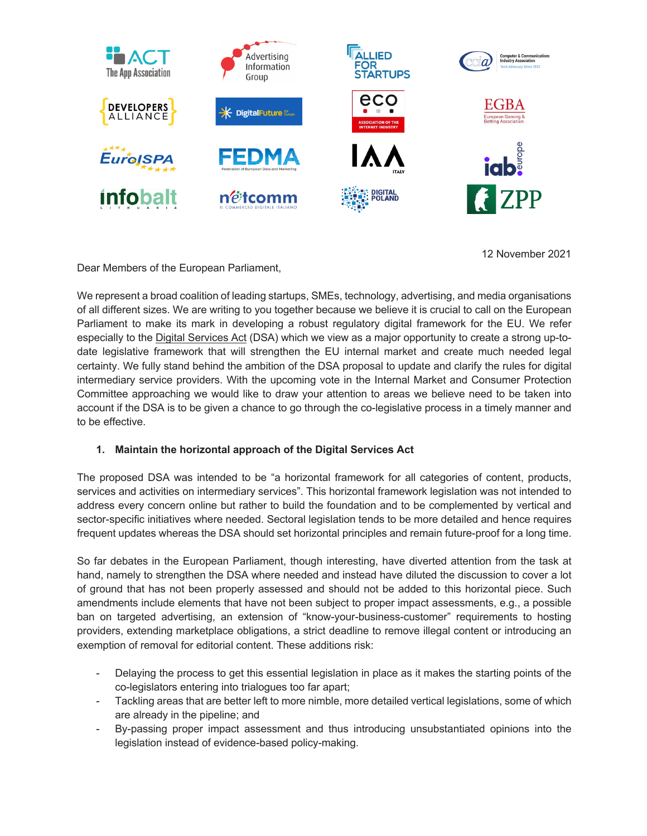

Dear Members of the European Parliament,

12 November 2021

We represent a broad coalition of leading startups, SMEs, technology, advertising, and media organisations of all different sizes. We are writing to you together because we believe it is crucial to call on the European Parliament to make its mark in developing a robust regulatory digital framework for the EU. We refer especially to the Digital Services Act (DSA) which we view as a major opportunity to create a strong up-todate legislative framework that will strengthen the EU internal market and create much needed legal certainty. We fully stand behind the ambition of the DSA proposal to update and clarify the rules for digital intermediary service providers. With the upcoming vote in the Internal Market and Consumer Protection Committee approaching we would like to draw your attention to areas we believe need to be taken into account if the DSA is to be given a chance to go through the co-legislative process in a timely manner and to be effective.

# **1. Maintain the horizontal approach of the Digital Services Act**

The proposed DSA was intended to be "a horizontal framework for all categories of content, products, services and activities on intermediary services". This horizontal framework legislation was not intended to address every concern online but rather to build the foundation and to be complemented by vertical and sector-specific initiatives where needed. Sectoral legislation tends to be more detailed and hence requires frequent updates whereas the DSA should set horizontal principles and remain future-proof for a long time.

So far debates in the European Parliament, though interesting, have diverted attention from the task at hand, namely to strengthen the DSA where needed and instead have diluted the discussion to cover a lot of ground that has not been properly assessed and should not be added to this horizontal piece. Such amendments include elements that have not been subject to proper impact assessments, e.g., a possible ban on targeted advertising, an extension of "know-your-business-customer" requirements to hosting providers, extending marketplace obligations, a strict deadline to remove illegal content or introducing an exemption of removal for editorial content. These additions risk:

- Delaying the process to get this essential legislation in place as it makes the starting points of the co-legislators entering into trialogues too far apart;
- Tackling areas that are better left to more nimble, more detailed vertical legislations, some of which are already in the pipeline; and
- By-passing proper impact assessment and thus introducing unsubstantiated opinions into the legislation instead of evidence-based policy-making.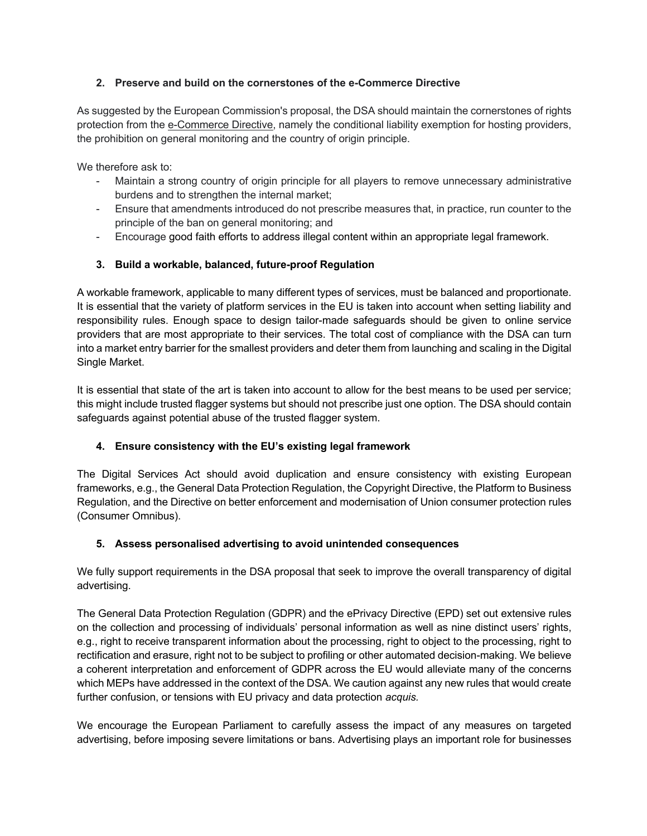### **2. Preserve and build on the cornerstones of the e-Commerce Directive**

As suggested by the European Commission's proposal, the DSA should maintain the cornerstones of rights protection from the e-Commerce Directive, namely the conditional liability exemption for hosting providers, the prohibition on general monitoring and the country of origin principle.

We therefore ask to:

- Maintain a strong country of origin principle for all players to remove unnecessary administrative burdens and to strengthen the internal market;
- Ensure that amendments introduced do not prescribe measures that, in practice, run counter to the principle of the ban on general monitoring; and
- Encourage good faith efforts to address illegal content within an appropriate legal framework.

## **3. Build a workable, balanced, future-proof Regulation**

A workable framework, applicable to many different types of services, must be balanced and proportionate. It is essential that the variety of platform services in the EU is taken into account when setting liability and responsibility rules. Enough space to design tailor-made safeguards should be given to online service providers that are most appropriate to their services. The total cost of compliance with the DSA can turn into a market entry barrier for the smallest providers and deter them from launching and scaling in the Digital Single Market.

It is essential that state of the art is taken into account to allow for the best means to be used per service; this might include trusted flagger systems but should not prescribe just one option. The DSA should contain safeguards against potential abuse of the trusted flagger system.

### **4. Ensure consistency with the EU's existing legal framework**

The Digital Services Act should avoid duplication and ensure consistency with existing European frameworks, e.g., the General Data Protection Regulation, the Copyright Directive, the Platform to Business Regulation, and the Directive on better enforcement and modernisation of Union consumer protection rules (Consumer Omnibus).

### **5. Assess personalised advertising to avoid unintended consequences**

We fully support requirements in the DSA proposal that seek to improve the overall transparency of digital advertising.

The General Data Protection Regulation (GDPR) and the ePrivacy Directive (EPD) set out extensive rules on the collection and processing of individuals' personal information as well as nine distinct users' rights, e.g., right to receive transparent information about the processing, right to object to the processing, right to rectification and erasure, right not to be subject to profiling or other automated decision-making. We believe a coherent interpretation and enforcement of GDPR across the EU would alleviate many of the concerns which MEPs have addressed in the context of the DSA. We caution against any new rules that would create further confusion, or tensions with EU privacy and data protection *acquis.*

We encourage the European Parliament to carefully assess the impact of any measures on targeted advertising, before imposing severe limitations or bans. Advertising plays an important role for businesses